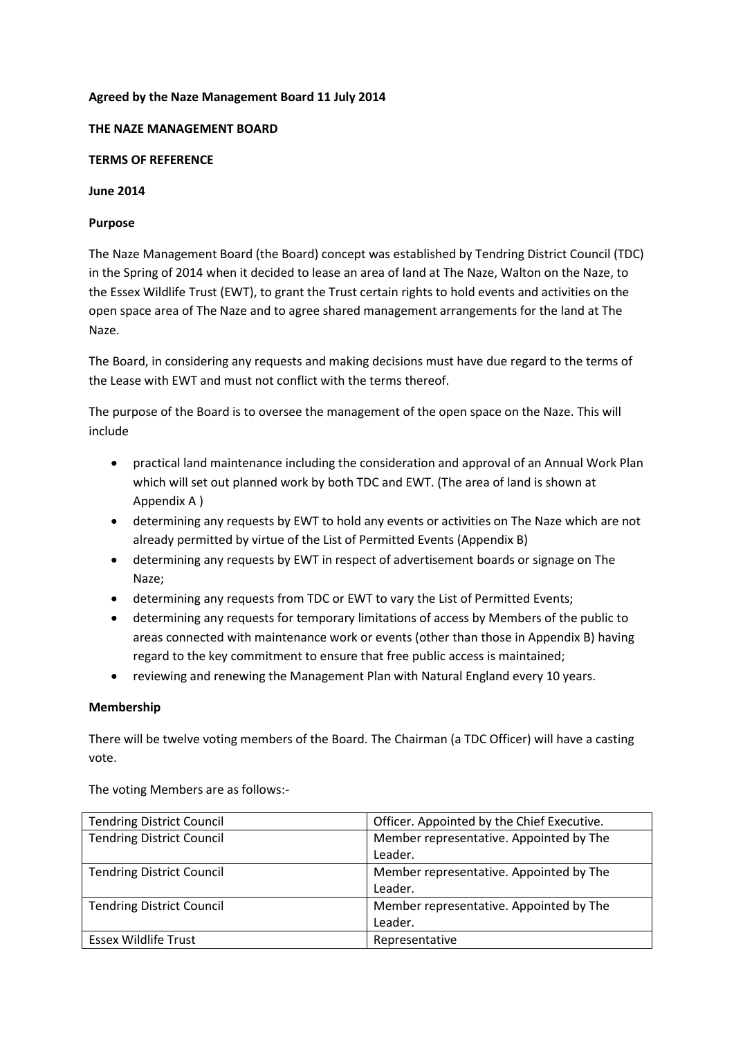## **Agreed by the Naze Management Board 11 July 2014**

## **THE NAZE MANAGEMENT BOARD**

## **TERMS OF REFERENCE**

## **June 2014**

# **Purpose**

The Naze Management Board (the Board) concept was established by Tendring District Council (TDC) in the Spring of 2014 when it decided to lease an area of land at The Naze, Walton on the Naze, to the Essex Wildlife Trust (EWT), to grant the Trust certain rights to hold events and activities on the open space area of The Naze and to agree shared management arrangements for the land at The Naze.

The Board, in considering any requests and making decisions must have due regard to the terms of the Lease with EWT and must not conflict with the terms thereof.

The purpose of the Board is to oversee the management of the open space on the Naze. This will include

- practical land maintenance including the consideration and approval of an Annual Work Plan which will set out planned work by both TDC and EWT. (The area of land is shown at Appendix A )
- determining any requests by EWT to hold any events or activities on The Naze which are not already permitted by virtue of the List of Permitted Events (Appendix B)
- determining any requests by EWT in respect of advertisement boards or signage on The Naze;
- determining any requests from TDC or EWT to vary the List of Permitted Events;
- determining any requests for temporary limitations of access by Members of the public to areas connected with maintenance work or events (other than those in Appendix B) having regard to the key commitment to ensure that free public access is maintained;
- reviewing and renewing the Management Plan with Natural England every 10 years.

# **Membership**

There will be twelve voting members of the Board. The Chairman (a TDC Officer) will have a casting vote.

| <b>Tendring District Council</b> | Officer. Appointed by the Chief Executive. |
|----------------------------------|--------------------------------------------|
| <b>Tendring District Council</b> | Member representative. Appointed by The    |
|                                  | Leader.                                    |
| <b>Tendring District Council</b> | Member representative. Appointed by The    |
|                                  | Leader.                                    |
| <b>Tendring District Council</b> | Member representative. Appointed by The    |
|                                  | Leader.                                    |
| <b>Essex Wildlife Trust</b>      | Representative                             |

The voting Members are as follows:-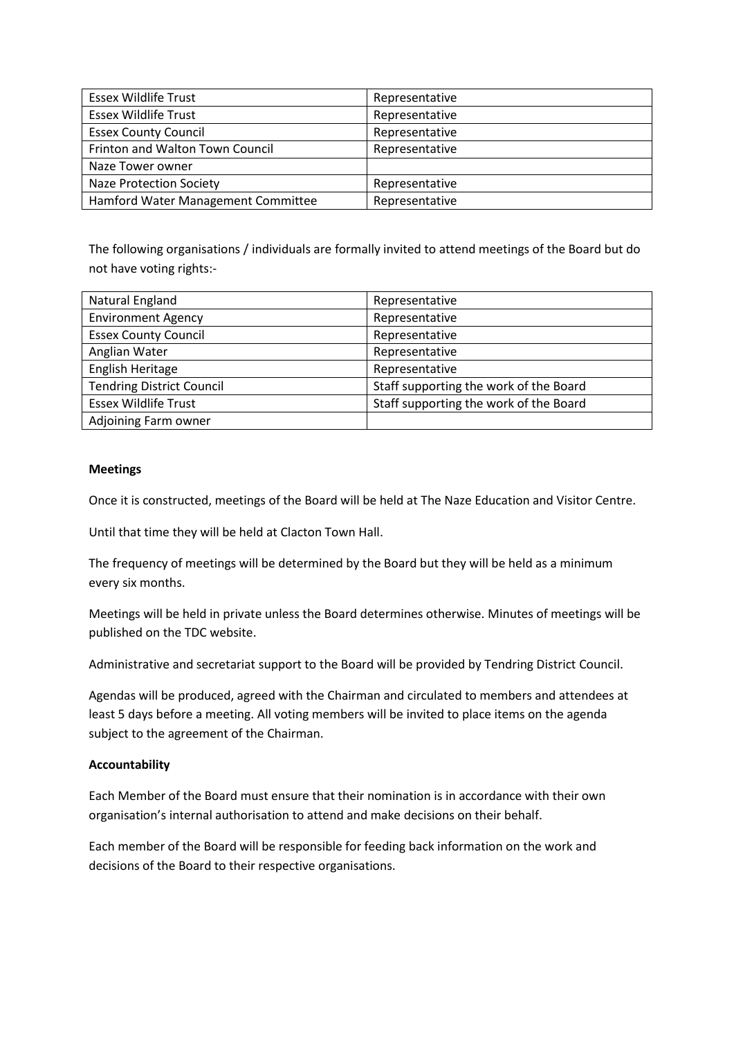| <b>Essex Wildlife Trust</b>        | Representative |
|------------------------------------|----------------|
| <b>Essex Wildlife Trust</b>        | Representative |
| <b>Essex County Council</b>        | Representative |
| Frinton and Walton Town Council    | Representative |
| Naze Tower owner                   |                |
| Naze Protection Society            | Representative |
| Hamford Water Management Committee | Representative |

The following organisations / individuals are formally invited to attend meetings of the Board but do not have voting rights:-

| Natural England                  | Representative                         |
|----------------------------------|----------------------------------------|
| <b>Environment Agency</b>        | Representative                         |
| <b>Essex County Council</b>      | Representative                         |
| Anglian Water                    | Representative                         |
| English Heritage                 | Representative                         |
| <b>Tendring District Council</b> | Staff supporting the work of the Board |
| <b>Essex Wildlife Trust</b>      | Staff supporting the work of the Board |
| Adjoining Farm owner             |                                        |

#### **Meetings**

Once it is constructed, meetings of the Board will be held at The Naze Education and Visitor Centre.

Until that time they will be held at Clacton Town Hall.

The frequency of meetings will be determined by the Board but they will be held as a minimum every six months.

Meetings will be held in private unless the Board determines otherwise. Minutes of meetings will be published on the TDC website.

Administrative and secretariat support to the Board will be provided by Tendring District Council.

Agendas will be produced, agreed with the Chairman and circulated to members and attendees at least 5 days before a meeting. All voting members will be invited to place items on the agenda subject to the agreement of the Chairman.

# **Accountability**

Each Member of the Board must ensure that their nomination is in accordance with their own organisation's internal authorisation to attend and make decisions on their behalf.

Each member of the Board will be responsible for feeding back information on the work and decisions of the Board to their respective organisations.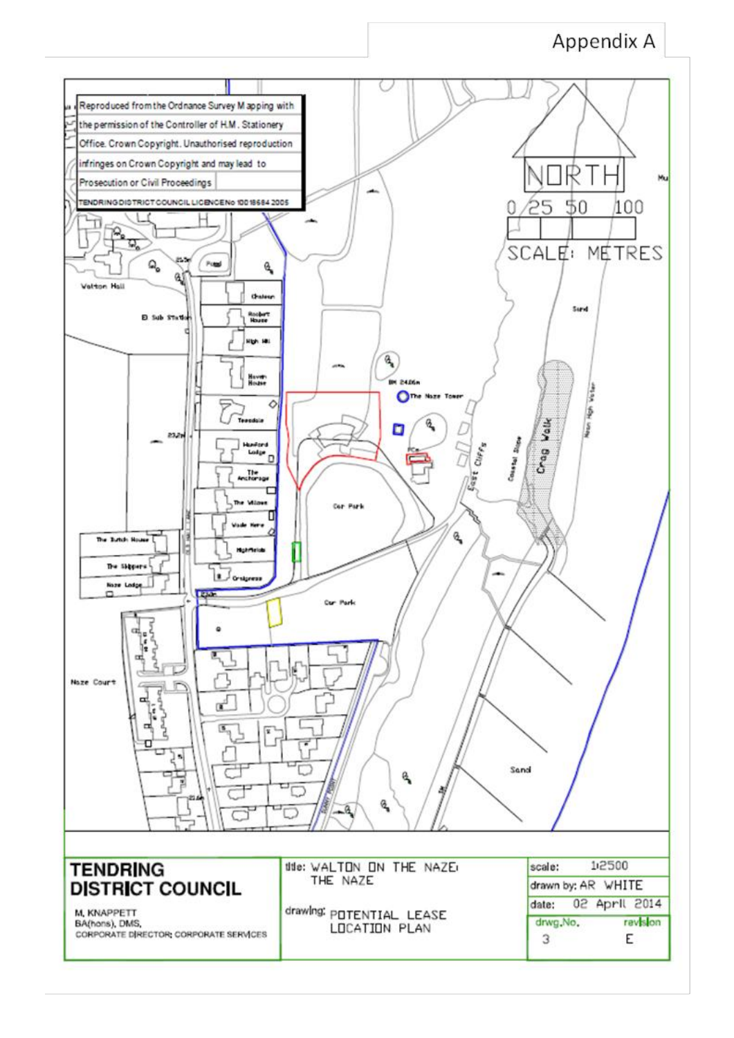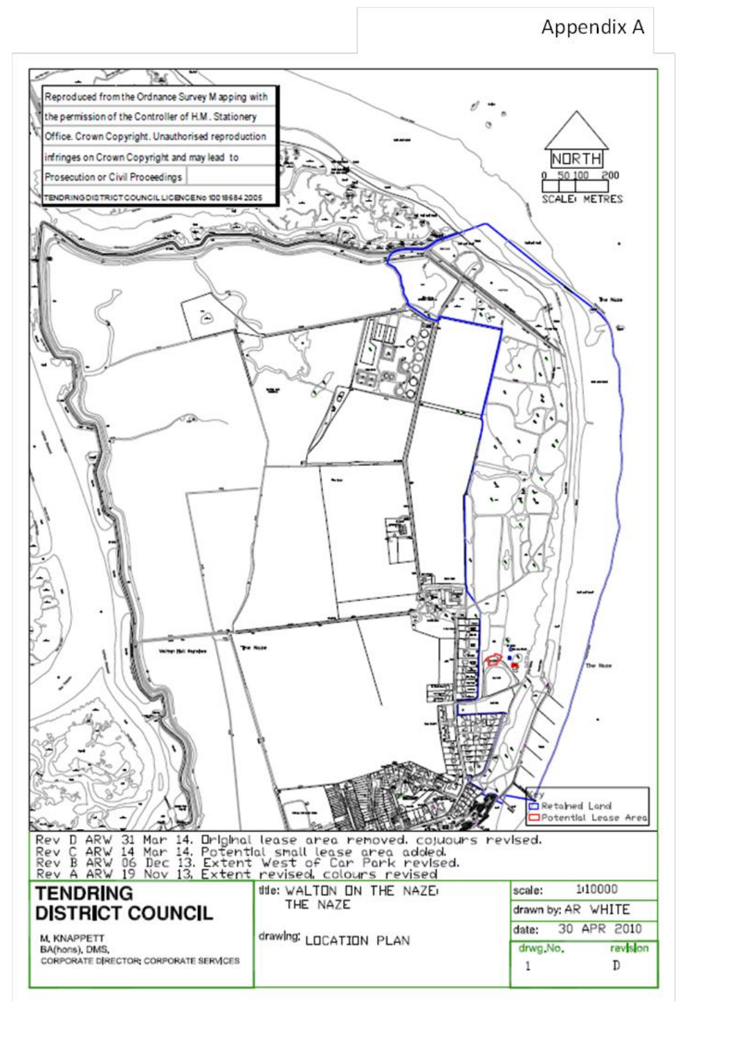